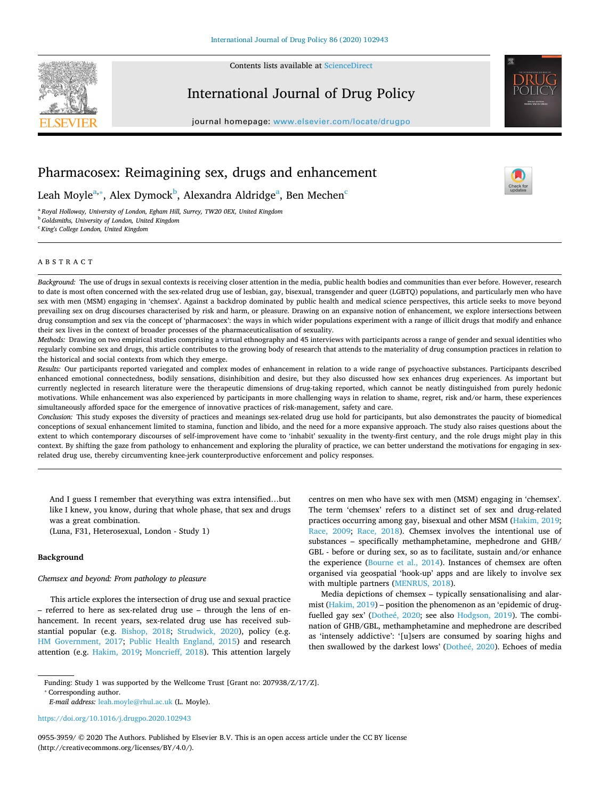

Contents lists available at [ScienceDirect](http://www.sciencedirect.com/science/journal/09553959) 

# International Journal of Drug Policy

journal homepage: [www.elsevier.com/locate/drugpo](https://www.elsevier.com/locate/drugpo) 



 $\frac{N}{2}$ 

# Pharmacosex: Reimagining sex, drugs and enhancement

Le[a](#page-0-0)h Moyle $\mathrm{^{a,*}},$  Alex Dymock $\mathrm{^{b}},$  Alexandra Aldridge $\mathrm{^{a}},$  Ben Mechen $\mathrm{^{c}}$ 

<span id="page-0-0"></span><sup>a</sup>*Royal Holloway, University of London, Egham Hill, Surrey, TW20 0EX, United Kingdom* 

<span id="page-0-2"></span><sup>b</sup>*Goldsmiths, University of London, United Kingdom* 

<span id="page-0-3"></span><sup>c</sup>*King's College London, United Kingdom* 

# ABSTRACT

*Background:* The use of drugs in sexual contexts is receiving closer attention in the media, public health bodies and communities than ever before. However, research to date is most often concerned with the sex-related drug use of lesbian, gay, bisexual, transgender and queer (LGBTQ) populations, and particularly men who have sex with men (MSM) engaging in 'chemsex'. Against a backdrop dominated by public health and medical science perspectives, this article seeks to move beyond prevailing sex on drug discourses characterised by risk and harm, or pleasure. Drawing on an expansive notion of enhancement, we explore intersections between drug consumption and sex via the concept of 'pharmacosex': the ways in which wider populations experiment with a range of illicit drugs that modify and enhance their sex lives in the context of broader processes of the pharmaceuticalisation of sexuality.

*Methods:* Drawing on two empirical studies comprising a virtual ethnography and 45 interviews with participants across a range of gender and sexual identities who regularly combine sex and drugs, this article contributes to the growing body of research that attends to the materiality of drug consumption practices in relation to the historical and social contexts from which they emerge.

*Results:* Our participants reported variegated and complex modes of enhancement in relation to a wide range of psychoactive substances. Participants described enhanced emotional connectedness, bodily sensations, disinhibition and desire, but they also discussed how sex enhances drug experiences. As important but currently neglected in research literature were the therapeutic dimensions of drug-taking reported, which cannot be neatly distinguished from purely hedonic motivations. While enhancement was also experienced by participants in more challenging ways in relation to shame, regret, risk and/or harm, these experiences simultaneously afforded space for the emergence of innovative practices of risk-management, safety and care.

*Conclusion:* This study exposes the diversity of practices and meanings sex-related drug use hold for participants, but also demonstrates the paucity of biomedical conceptions of sexual enhancement limited to stamina, function and libido, and the need for a more expansive approach. The study also raises questions about the extent to which contemporary discourses of self-improvement have come to 'inhabit' sexuality in the twenty-first century, and the role drugs might play in this context. By shifting the gaze from pathology to enhancement and exploring the plurality of practice, we can better understand the motivations for engaging in sexrelated drug use, thereby circumventing knee-jerk counterproductive enforcement and policy responses.

And I guess I remember that everything was extra intensified…but like I knew, you know, during that whole phase, that sex and drugs was a great combination.

(Luna, F31, Heterosexual, London - Study 1)

# **Background**

#### *Chemsex and beyond: From pathology to pleasure*

This article explores the intersection of drug use and sexual practice – referred to here as sex-related drug use – through the lens of enhancement. In recent years, sex-related drug use has received substantial popular (e.g. [Bishop, 2018](#page-8-0); [Strudwick, 2020\)](#page-9-0), policy (e.g. [HM Government, 2017](#page-8-1); [Public Health England, 2015](#page-9-1)) and research attention (e.g. [Hakim, 2019;](#page-8-2) [Moncrieff, 2018](#page-9-2)). This attention largely

centres on men who have sex with men (MSM) engaging in 'chemsex'. The term 'chemsex' refers to a distinct set of sex and drug-related practices occurring among gay, bisexual and other MSM ([Hakim, 2019](#page-8-2); [Race, 2009](#page-9-3); [Race, 2018](#page-9-4)). Chemsex involves the intentional use of substances – specifically methamphetamine, mephedrone and GHB/ GBL - before or during sex, so as to facilitate, sustain and/or enhance the experience ([Bourne et al., 2014\)](#page-8-3). Instances of chemsex are often organised via geospatial 'hook-up' apps and are likely to involve sex with multiple partners [\(MENRUS, 2018](#page-8-4)).

Media depictions of chemsex – typically sensationalising and alarmist ([Hakim, 2019](#page-8-2)) – position the phenomenon as an 'epidemic of drugfuelled gay sex' [\(Dotheé, 2020](#page-8-5); see also [Hodgson, 2019\)](#page-8-6). The combination of GHB/GBL, methamphetamine and mephedrone are described as 'intensely addictive': '[u]sers are consumed by soaring highs and then swallowed by the darkest lows' [\(Dotheé, 2020](#page-8-5)). Echoes of media

⁎ Corresponding author.

*E-mail address:* [leah.moyle@rhul.ac.uk](mailto:leah.moyle@rhul.ac.uk) (L. Moyle).

<span id="page-0-1"></span>Funding: Study 1 was supported by the Wellcome Trust [Grant no: 207938/Z/17/Z].

<https://doi.org/10.1016/j.drugpo.2020.102943>

<sup>0955-3959/ © 2020</sup> The Authors. Published by Elsevier B.V. This is an open access article under the CC BY license (http://creativecommons.org/licenses/BY/4.0/).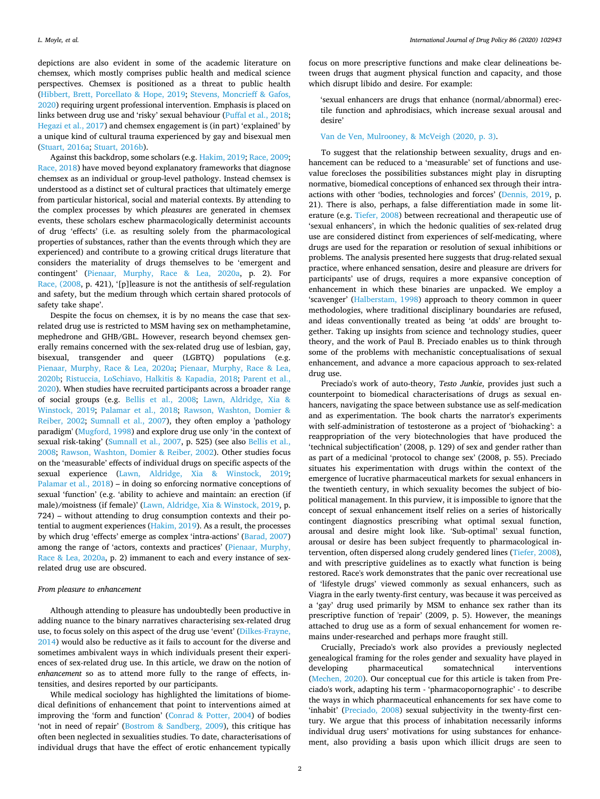depictions are also evident in some of the academic literature on chemsex, which mostly comprises public health and medical science perspectives. Chemsex is positioned as a threat to public health ([Hibbert, Brett, Porcellato & Hope, 2019](#page-8-7); [Stevens, Moncrieff & Gafos,](#page-9-5)  [2020\)](#page-9-5) requiring urgent professional intervention. Emphasis is placed on links between drug use and 'risky' sexual behaviour ([Puffal et al., 2018](#page-9-6); [Hegazi et al., 2017](#page-8-8)) and chemsex engagement is (in part) 'explained' by a unique kind of cultural trauma experienced by gay and bisexual men ([Stuart, 2016a;](#page-9-7) [Stuart, 2016b](#page-9-8)).

Against this backdrop, some scholars (e.g. [Hakim, 2019](#page-8-2); [Race, 2009](#page-9-3); [Race, 2018\)](#page-9-4) have moved beyond explanatory frameworks that diagnose chemsex as an individual or group-level pathology. Instead chemsex is understood as a distinct set of cultural practices that ultimately emerge from particular historical, social and material contexts. By attending to the complex processes by which *pleasures* are generated in chemsex events, these scholars eschew pharmacologically determinist accounts of drug 'effects' (i.e. as resulting solely from the pharmacological properties of substances, rather than the events through which they are experienced) and contribute to a growing critical drugs literature that considers the materiality of drugs themselves to be 'emergent and contingent' ([Pienaar, Murphy, Race & Lea, 2020a](#page-9-9), p. 2). For [Race, \(2008](#page-9-10), p. 421), '[p]leasure is not the antithesis of self-regulation and safety, but the medium through which certain shared protocols of safety take shape'.

Despite the focus on chemsex, it is by no means the case that sexrelated drug use is restricted to MSM having sex on methamphetamine, mephedrone and GHB/GBL. However, research beyond chemsex generally remains concerned with the sex-related drug use of lesbian, gay, bisexual, transgender and queer (LGBTQ) populations (e.g. [Pienaar, Murphy, Race & Lea, 2020a](#page-9-9); [Pienaar, Murphy, Race & Lea,](#page-9-11)  [2020b;](#page-9-11) [Ristuccia, LoSchiavo, Halkitis & Kapadia, 2018](#page-9-12); [Parent et al.,](#page-9-13)  [2020\)](#page-9-13). When studies have recruited participants across a broader range of social groups (e.g. [Bellis et al., 2008;](#page-8-9) [Lawn, Aldridge, Xia &](#page-8-10)  [Winstock, 2019](#page-8-10); [Palamar et al., 2018](#page-9-14); [Rawson, Washton, Domier &](#page-9-15)  [Reiber, 2002](#page-9-15); [Sumnall et al., 2007](#page-9-16)), they often employ a 'pathology paradigm' ([Mugford, 1998](#page-9-17)) and explore drug use only 'in the context of sexual risk-taking' ([Sumnall et al., 2007,](#page-9-16) p. 525) (see also [Bellis et al.,](#page-8-9)  [2008;](#page-8-9) [Rawson, Washton, Domier & Reiber, 2002](#page-9-15)). Other studies focus on the 'measurable' effects of individual drugs on specific aspects of the sexual experience [\(Lawn, Aldridge, Xia & Winstock, 2019](#page-8-10); [Palamar et al., 2018](#page-9-14)) – in doing so enforcing normative conceptions of sexual 'function' (e.g. 'ability to achieve and maintain: an erection (if male)/moistness (if female)' [\(Lawn, Aldridge, Xia & Winstock, 2019](#page-8-10), p. 724) – without attending to drug consumption contexts and their potential to augment experiences ([Hakim, 2019](#page-8-2)). As a result, the processes by which drug 'effects' emerge as complex 'intra-actions' ([Barad, 2007\)](#page-8-11) among the range of 'actors, contexts and practices' ([Pienaar, Murphy,](#page-9-9)  [Race & Lea, 2020a](#page-9-9), p. 2) immanent to each and every instance of sexrelated drug use are obscured.

# *From pleasure to enhancement*

Although attending to pleasure has undoubtedly been productive in adding nuance to the binary narratives characterising sex-related drug use, to focus solely on this aspect of the drug use 'event' [\(Dilkes-Frayne,](#page-8-12)  [2014\)](#page-8-12) would also be reductive as it fails to account for the diverse and sometimes ambivalent ways in which individuals present their experiences of sex-related drug use. In this article, we draw on the notion of *enhancement* so as to attend more fully to the range of effects, intensities, and desires reported by our participants.

While medical sociology has highlighted the limitations of biomedical definitions of enhancement that point to interventions aimed at improving the 'form and function' [\(Conrad & Potter, 2004\)](#page-8-13) of bodies 'not in need of repair' [\(Bostrom & Sandberg, 2009\)](#page-8-14), this critique has often been neglected in sexualities studies. To date, characterisations of individual drugs that have the effect of erotic enhancement typically

focus on more prescriptive functions and make clear delineations between drugs that augment physical function and capacity, and those which disrupt libido and desire. For example:

'sexual enhancers are drugs that enhance (normal/abnormal) erectile function and aphrodisiacs, which increase sexual arousal and desire'

# [Van de Ven, Mulrooney, & McVeigh \(2020, p. 3\)](#page-9-18).

To suggest that the relationship between sexuality, drugs and enhancement can be reduced to a 'measurable' set of functions and usevalue forecloses the possibilities substances might play in disrupting normative, biomedical conceptions of enhanced sex through their intraactions with other 'bodies, technologies and forces' [\(Dennis, 2019,](#page-8-15) p. 21). There is also, perhaps, a false differentiation made in some literature (e.g. [Tiefer, 2008\)](#page-9-19) between recreational and therapeutic use of 'sexual enhancers', in which the hedonic qualities of sex-related drug use are considered distinct from experiences of self-medicating, where drugs are used for the reparation or resolution of sexual inhibitions or problems. The analysis presented here suggests that drug-related sexual practice, where enhanced sensation, desire and pleasure are drivers for participants' use of drugs, requires a more expansive conception of enhancement in which these binaries are unpacked. We employ a 'scavenger' ([Halberstam, 1998](#page-8-16)) approach to theory common in queer methodologies, where traditional disciplinary boundaries are refused, and ideas conventionally treated as being 'at odds' are brought together. Taking up insights from science and technology studies, queer theory, and the work of Paul B. Preciado enables us to think through some of the problems with mechanistic conceptualisations of sexual enhancement, and advance a more capacious approach to sex-related drug use.

Preciado's work of auto-theory, *Testo Junkie*, provides just such a counterpoint to biomedical characterisations of drugs as sexual enhancers, navigating the space between substance use as self-medication and as experimentation. The book charts the narrator's experiments with self-administration of testosterone as a project of 'biohacking': a reappropriation of the very biotechnologies that have produced the 'technical subjectification' (2008, p. 129) of sex and gender rather than as part of a medicinal 'protocol to change sex' (2008, p. 55). Preciado situates his experimentation with drugs within the context of the emergence of lucrative pharmaceutical markets for sexual enhancers in the twentieth century, in which sexuality becomes the subject of biopolitical management. In this purview, it is impossible to ignore that the concept of sexual enhancement itself relies on a series of historically contingent diagnostics prescribing what optimal sexual function, arousal and desire might look like. 'Sub-optimal' sexual function, arousal or desire has been subject frequently to pharmacological intervention, often dispersed along crudely gendered lines [\(Tiefer, 2008](#page-9-19)), and with prescriptive guidelines as to exactly what function is being restored. Race's work demonstrates that the panic over recreational use of 'lifestyle drugs' viewed commonly as sexual enhancers, such as Viagra in the early twenty-first century, was because it was perceived as a 'gay' drug used primarily by MSM to enhance sex rather than its prescriptive function of 'repair' (2009, p. 5). However, the meanings attached to drug use as a form of sexual enhancement for women remains under-researched and perhaps more fraught still.

Crucially, Preciado's work also provides a previously neglected genealogical framing for the roles gender and sexuality have played in developing pharmaceutical somatechnical interventions ([Mechen, 2020](#page-8-17)). Our conceptual cue for this article is taken from Preciado's work, adapting his term - 'pharmacopornographic' - to describe the ways in which pharmaceutical enhancements for sex have come to 'inhabit' [\(Preciado, 2008\)](#page-9-20) sexual subjectivity in the twenty-first century. We argue that this process of inhabitation necessarily informs individual drug users' motivations for using substances for enhancement, also providing a basis upon which illicit drugs are seen to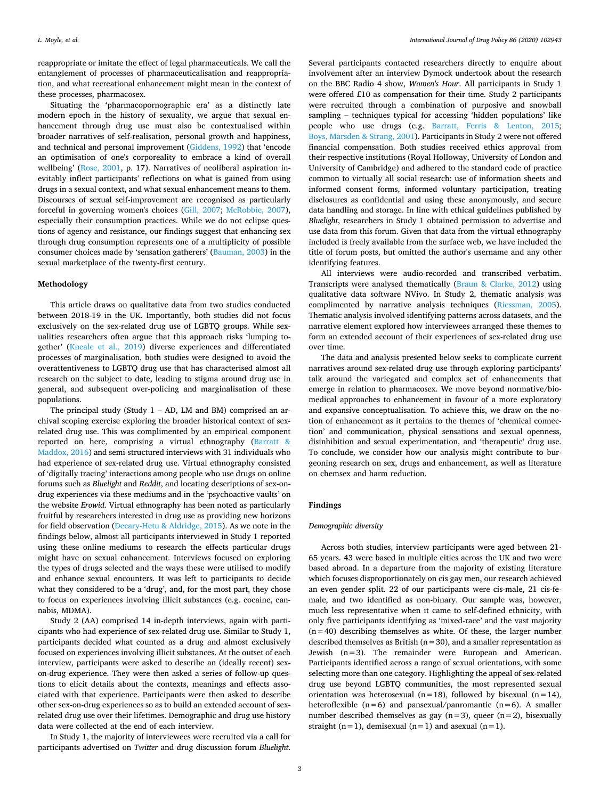reappropriate or imitate the effect of legal pharmaceuticals. We call the entanglement of processes of pharmaceuticalisation and reappropriation, and what recreational enhancement might mean in the context of these processes, pharmacosex.

Situating the 'pharmacopornographic era' as a distinctly late modern epoch in the history of sexuality, we argue that sexual enhancement through drug use must also be contextualised within broader narratives of self-realisation, personal growth and happiness, and technical and personal improvement [\(Giddens, 1992\)](#page-8-18) that 'encode an optimisation of one's corporeality to embrace a kind of overall wellbeing' [\(Rose, 2001,](#page-9-21) p. 17). Narratives of neoliberal aspiration inevitably inflect participants' reflections on what is gained from using drugs in a sexual context, and what sexual enhancement means to them. Discourses of sexual self-improvement are recognised as particularly forceful in governing women's choices ([Gill, 2007](#page-8-19); [McRobbie, 2007](#page-8-20)), especially their consumption practices. While we do not eclipse questions of agency and resistance, our findings suggest that enhancing sex through drug consumption represents one of a multiplicity of possible consumer choices made by 'sensation gatherers' ([Bauman, 2003\)](#page-8-21) in the sexual marketplace of the twenty-first century.

#### **Methodology**

This article draws on qualitative data from two studies conducted between 2018-19 in the UK. Importantly, both studies did not focus exclusively on the sex-related drug use of LGBTQ groups. While sexualities researchers often argue that this approach risks 'lumping together' [\(Kneale et al., 2019](#page-8-22)) diverse experiences and differentiated processes of marginalisation, both studies were designed to avoid the overattentiveness to LGBTQ drug use that has characterised almost all research on the subject to date, leading to stigma around drug use in general, and subsequent over-policing and marginalisation of these populations.

The principal study (Study  $1 - AD$ , LM and BM) comprised an archival scoping exercise exploring the broader historical context of sexrelated drug use. This was complimented by an empirical component reported on here, comprising a virtual ethnography [\(Barratt &](#page-8-23)  [Maddox, 2016](#page-8-23)) and semi-structured interviews with 31 individuals who had experience of sex-related drug use. Virtual ethnography consisted of 'digitally tracing' interactions among people who use drugs on online forums such as *Bluelight* and *Reddit*, and locating descriptions of sex-ondrug experiences via these mediums and in the 'psychoactive vaults' on the website *Erowid*. Virtual ethnography has been noted as particularly fruitful by researchers interested in drug use as providing new horizons for field observation [\(Decary-Hetu & Aldridge, 2015\)](#page-8-24). As we note in the findings below, almost all participants interviewed in Study 1 reported using these online mediums to research the effects particular drugs might have on sexual enhancement. Interviews focused on exploring the types of drugs selected and the ways these were utilised to modify and enhance sexual encounters. It was left to participants to decide what they considered to be a 'drug', and, for the most part, they chose to focus on experiences involving illicit substances (e.g. cocaine, cannabis, MDMA).

Study 2 (AA) comprised 14 in-depth interviews, again with participants who had experience of sex-related drug use. Similar to Study 1, participants decided what counted as a drug and almost exclusively focused on experiences involving illicit substances. At the outset of each interview, participants were asked to describe an (ideally recent) sexon-drug experience. They were then asked a series of follow-up questions to elicit details about the contexts, meanings and effects associated with that experience. Participants were then asked to describe other sex-on-drug experiences so as to build an extended account of sexrelated drug use over their lifetimes. Demographic and drug use history data were collected at the end of each interview.

In Study 1, the majority of interviewees were recruited via a call for participants advertised on *Twitter* and drug discussion forum *Bluelight*.

Several participants contacted researchers directly to enquire about involvement after an interview Dymock undertook about the research on the BBC Radio 4 show, *Women's Hour*. All participants in Study 1 were offered £10 as compensation for their time. Study 2 participants were recruited through a combination of purposive and snowball sampling – techniques typical for accessing 'hidden populations' like people who use drugs (e.g. [Barratt, Ferris & Lenton, 2015](#page-8-25); [Boys, Marsden & Strang, 2001\)](#page-8-26). Participants in Study 2 were not offered financial compensation. Both studies received ethics approval from their respective institutions (Royal Holloway, University of London and University of Cambridge) and adhered to the standard code of practice common to virtually all social research: use of information sheets and informed consent forms, informed voluntary participation, treating disclosures as confidential and using these anonymously, and secure data handling and storage. In line with ethical guidelines published by *Bluelight*, researchers in Study 1 obtained permission to advertise and use data from this forum. Given that data from the virtual ethnography included is freely available from the surface web, we have included the title of forum posts, but omitted the author's username and any other identifying features.

All interviews were audio-recorded and transcribed verbatim. Transcripts were analysed thematically [\(Braun & Clarke, 2012\)](#page-8-27) using qualitative data software NVivo. In Study 2, thematic analysis was complimented by narrative analysis techniques ([Riessman, 2005](#page-9-22)). Thematic analysis involved identifying patterns across datasets, and the narrative element explored how interviewees arranged these themes to form an extended account of their experiences of sex-related drug use over time.

The data and analysis presented below seeks to complicate current narratives around sex-related drug use through exploring participants' talk around the variegated and complex set of enhancements that emerge in relation to pharmacosex. We move beyond normative/biomedical approaches to enhancement in favour of a more exploratory and expansive conceptualisation. To achieve this, we draw on the notion of enhancement as it pertains to the themes of 'chemical connection' and communication, physical sensations and sexual openness, disinhibition and sexual experimentation, and 'therapeutic' drug use. To conclude, we consider how our analysis might contribute to burgeoning research on sex, drugs and enhancement, as well as literature on chemsex and harm reduction.

#### **Findings**

#### *Demographic diversity*

Across both studies, interview participants were aged between 21- 65 years. 43 were based in multiple cities across the UK and two were based abroad. In a departure from the majority of existing literature which focuses disproportionately on cis gay men, our research achieved an even gender split. 22 of our participants were cis-male, 21 cis-female, and two identified as non-binary. Our sample was, however, much less representative when it came to self-defined ethnicity, with only five participants identifying as 'mixed-race' and the vast majority  $(n=40)$  describing themselves as white. Of these, the larger number described themselves as British ( $n=30$ ), and a smaller representation as Jewish (n=3). The remainder were European and American. Participants identified across a range of sexual orientations, with some selecting more than one category. Highlighting the appeal of sex-related drug use beyond LGBTQ communities, the most represented sexual orientation was heterosexual (n=18), followed by bisexual (n=14), heteroflexible  $(n=6)$  and pansexual/panromantic  $(n=6)$ . A smaller number described themselves as gay  $(n=3)$ , queer  $(n=2)$ , bisexually straight (n=1), demisexual (n=1) and asexual (n=1).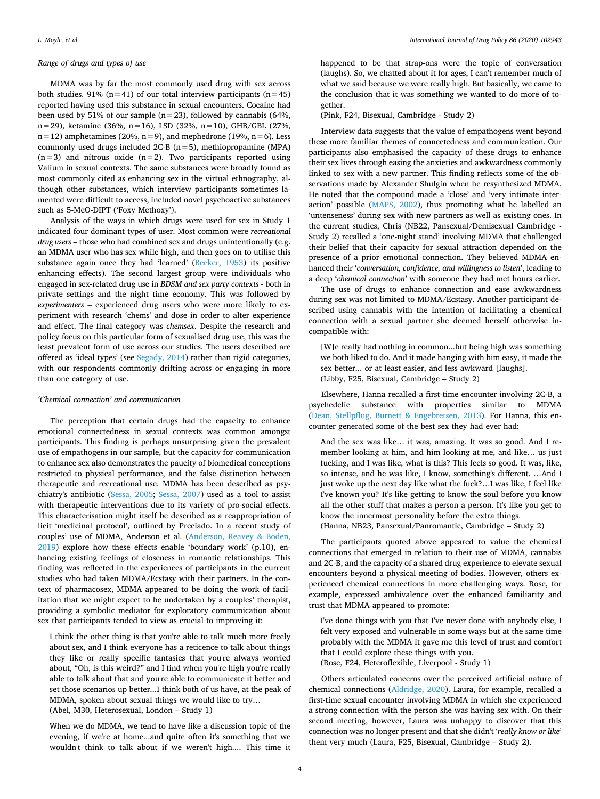#### *Range of drugs and types of use*

MDMA was by far the most commonly used drug with sex across both studies. 91% ( $n=41$ ) of our total interview participants ( $n=45$ ) reported having used this substance in sexual encounters. Cocaine had been used by 51% of our sample ( $n=23$ ), followed by cannabis (64%, n=29), ketamine (36%, n=16), LSD (32%, n=10), GHB/GBL (27%,  $n=12$ ) amphetamines (20%,  $n=9$ ), and mephedrone (19%,  $n=6$ ). Less commonly used drugs included 2C-B (n=5), methiopropamine (MPA)  $(n=3)$  and nitrous oxide  $(n=2)$ . Two participants reported using Valium in sexual contexts. The same substances were broadly found as most commonly cited as enhancing sex in the virtual ethnography, although other substances, which interview participants sometimes lamented were difficult to access, included novel psychoactive substances such as 5-MeO-DIPT ('Foxy Methoxy').

Analysis of the ways in which drugs were used for sex in Study 1 indicated four dominant types of user. Most common were *recreational drug users* – those who had combined sex and drugs unintentionally (e.g. an MDMA user who has sex while high, and then goes on to utilise this substance again once they had 'learned' ([Becker, 1953\)](#page-8-28) its positive enhancing effects). The second largest group were individuals who engaged in sex-related drug use in *BDSM and sex party contexts -* both in private settings and the night time economy. This was followed by *experimenters –* experienced drug users who were more likely to experiment with research 'chems' and dose in order to alter experience and effect. The final category was *chemsex*. Despite the research and policy focus on this particular form of sexualised drug use, this was the least prevalent form of use across our studies. The users described are offered as 'ideal types' (see [Segady, 2014\)](#page-9-23) rather than rigid categories, with our respondents commonly drifting across or engaging in more than one category of use.

#### *'Chemical connection' and communication*

The perception that certain drugs had the capacity to enhance emotional connectedness in sexual contexts was common amongst participants. This finding is perhaps unsurprising given the prevalent use of empathogens in our sample, but the capacity for communication to enhance sex also demonstrates the paucity of biomedical conceptions restricted to physical performance, and the false distinction between therapeutic and recreational use. MDMA has been described as psychiatry's antibiotic [\(Sessa, 2005](#page-9-24); [Sessa, 2007](#page-9-25)) used as a tool to assist with therapeutic interventions due to its variety of pro-social effects. This characterisation might itself be described as a reappropriation of licit 'medicinal protocol', outlined by Preciado. In a recent study of couples' use of MDMA, Anderson et al. [\(Anderson, Reavey & Boden,](#page-8-29)  [2019\)](#page-8-29) explore how these effects enable 'boundary work' (p.10), enhancing existing feelings of closeness in romantic relationships. This finding was reflected in the experiences of participants in the current studies who had taken MDMA/Ecstasy with their partners. In the context of pharmacosex, MDMA appeared to be doing the work of facilitation that we might expect to be undertaken by a couples' therapist, providing a symbolic mediator for exploratory communication about sex that participants tended to view as crucial to improving it:

I think the other thing is that you're able to talk much more freely about sex, and I think everyone has a reticence to talk about things they like or really specific fantasies that you're always worried about, "Oh, is this weird?" and I find when you're high you're really able to talk about that and you're able to communicate it better and set those scenarios up better...I think both of us have, at the peak of MDMA, spoken about sexual things we would like to try… (Abel, M30, Heterosexual, London – Study 1)

When we do MDMA, we tend to have like a discussion topic of the evening, if we're at home...and quite often it's something that we wouldn't think to talk about if we weren't high.... This time it happened to be that strap-ons were the topic of conversation (laughs). So, we chatted about it for ages, I can't remember much of what we said because we were really high. But basically, we came to the conclusion that it was something we wanted to do more of together.

(Pink, F24, Bisexual, Cambridge - Study 2)

Interview data suggests that the value of empathogens went beyond these more familiar themes of connectedness and communication. Our participants also emphasised the capacity of these drugs to enhance their sex lives through easing the anxieties and awkwardness commonly linked to sex with a new partner. This finding reflects some of the observations made by Alexander Shulgin when he resynthesized MDMA. He noted that the compound made a 'close' and 'very intimate interaction' possible [\(MAPS, 2002\)](#page-8-30), thus promoting what he labelled an 'untenseness' during sex with new partners as well as existing ones. In the current studies, Chris (NB22, Pansexual/Demisexual Cambridge - Study 2) recalled a 'one-night stand' involving MDMA that challenged their belief that their capacity for sexual attraction depended on the presence of a prior emotional connection. They believed MDMA enhanced their '*conversation, confidence, and willingness to listen*', leading to a deep '*chemical connection*' with someone they had met hours earlier.

The use of drugs to enhance connection and ease awkwardness during sex was not limited to MDMA/Ecstasy. Another participant described using cannabis with the intention of facilitating a chemical connection with a sexual partner she deemed herself otherwise incompatible with:

[W]e really had nothing in common...but being high was something we both liked to do. And it made hanging with him easy, it made the sex better... or at least easier, and less awkward [laughs]. (Libby, F25, Bisexual, Cambridge – Study 2)

Elsewhere, Hanna recalled a first-time encounter involving 2C-B, a psychedelic substance with properties similar to MDMA ([Dean, Stellpflug, Burnett & Engebretsen, 2013\)](#page-8-31). For Hanna, this encounter generated some of the best sex they had ever had:

And the sex was like… it was, amazing. It was so good. And I remember looking at him, and him looking at me, and like… us just fucking, and I was like, what is this? This feels so good. It was, like, so intense, and he was like, I know, something's different. …And I just woke up the next day like what the fuck?…I was like, I feel like I've known you? It's like getting to know the soul before you know all the other stuff that makes a person a person. It's like you get to know the innermost personality before the extra things.

(Hanna, NB23, Pansexual/Panromantic, Cambridge – Study 2)

The participants quoted above appeared to value the chemical connections that emerged in relation to their use of MDMA, cannabis and 2C-B, and the capacity of a shared drug experience to elevate sexual encounters beyond a physical meeting of bodies. However, others experienced chemical connections in more challenging ways. Rose, for example, expressed ambivalence over the enhanced familiarity and trust that MDMA appeared to promote:

I've done things with you that I've never done with anybody else, I felt very exposed and vulnerable in some ways but at the same time probably with the MDMA it gave me this level of trust and comfort that I could explore these things with you. (Rose, F24, Heteroflexible, Liverpool - Study 1)

Others articulated concerns over the perceived artificial nature of chemical connections ([Aldridge, 2020](#page-8-32)). Laura, for example, recalled a first-time sexual encounter involving MDMA in which she experienced a strong connection with the person she was having sex with. On their second meeting, however, Laura was unhappy to discover that this connection was no longer present and that she didn't '*really know or like*' them very much (Laura, F25, Bisexual, Cambridge – Study 2).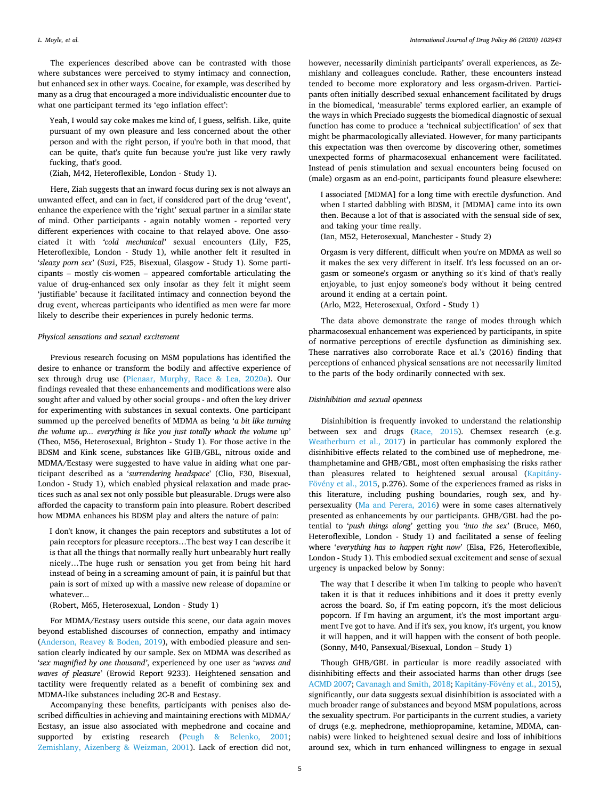The experiences described above can be contrasted with those where substances were perceived to stymy intimacy and connection, but enhanced sex in other ways. Cocaine, for example, was described by many as a drug that encouraged a more individualistic encounter due to what one participant termed its 'ego inflation effect':

Yeah, I would say coke makes me kind of, I guess, selfish. Like, quite pursuant of my own pleasure and less concerned about the other person and with the right person, if you're both in that mood, that can be quite, that's quite fun because you're just like very rawly fucking, that's good.

(Ziah, M42, Heteroflexible, London - Study 1).

Here, Ziah suggests that an inward focus during sex is not always an unwanted effect, and can in fact, if considered part of the drug 'event', enhance the experience with the 'right' sexual partner in a similar state of mind. Other participants - again notably women - reported very different experiences with cocaine to that relayed above. One associated it with *'cold mechanical'* sexual encounters (Lily, F25, Heteroflexible, London - Study 1), while another felt it resulted in '*sleazy porn sex*' (Suzi, F25, Bisexual, Glasgow - Study 1). Some participants – mostly cis-women – appeared comfortable articulating the value of drug-enhanced sex only insofar as they felt it might seem 'justifiable' because it facilitated intimacy and connection beyond the drug event, whereas participants who identified as men were far more likely to describe their experiences in purely hedonic terms.

#### *Physical sensations and sexual excitement*

Previous research focusing on MSM populations has identified the desire to enhance or transform the bodily and affective experience of sex through drug use [\(Pienaar, Murphy, Race & Lea, 2020a\)](#page-9-9). Our findings revealed that these enhancements and modifications were also sought after and valued by other social groups - and often the key driver for experimenting with substances in sexual contexts. One participant summed up the perceived benefits of MDMA as being '*a bit like turning the volume up... everything is like you just totally whack the volume up*' (Theo, M56, Heterosexual, Brighton - Study 1). For those active in the BDSM and Kink scene, substances like GHB/GBL, nitrous oxide and MDMA/Ecstasy were suggested to have value in aiding what one participant described as a '*surrendering headspace*' (Clio, F30, Bisexual, London - Study 1), which enabled physical relaxation and made practices such as anal sex not only possible but pleasurable. Drugs were also afforded the capacity to transform pain into pleasure. Robert described how MDMA enhances his BDSM play and alters the nature of pain:

I don't know, it changes the pain receptors and substitutes a lot of pain receptors for pleasure receptors…The best way I can describe it is that all the things that normally really hurt unbearably hurt really nicely…The huge rush or sensation you get from being hit hard instead of being in a screaming amount of pain, it is painful but that pain is sort of mixed up with a massive new release of dopamine or whatever...

# (Robert, M65, Heterosexual, London - Study 1)

For MDMA/Ecstasy users outside this scene, our data again moves beyond established discourses of connection, empathy and intimacy ([Anderson, Reavey & Boden, 2019](#page-8-29)), with embodied pleasure and sensation clearly indicated by our sample. Sex on MDMA was described as '*sex magnified by one thousand'*, experienced by one user as '*waves and waves of pleasure*' (Erowid Report 9233). Heightened sensation and tactility were frequently related as a benefit of combining sex and MDMA-like substances including 2C-B and Ecstasy.

Accompanying these benefits, participants with penises also described difficulties in achieving and maintaining erections with MDMA/ Ecstasy, an issue also associated with mephedrone and cocaine and supported by existing research [\(Peugh & Belenko, 2001](#page-9-26); [Zemishlany, Aizenberg & Weizman, 2001\)](#page-9-27). Lack of erection did not,

however, necessarily diminish participants' overall experiences, as Zemishlany and colleagues conclude. Rather, these encounters instead tended to become more exploratory and less orgasm-driven. Participants often initially described sexual enhancement facilitated by drugs in the biomedical, 'measurable' terms explored earlier, an example of the ways in which Preciado suggests the biomedical diagnostic of sexual function has come to produce a 'technical subjectification' of sex that might be pharmacologically alleviated. However, for many participants this expectation was then overcome by discovering other, sometimes unexpected forms of pharmacosexual enhancement were facilitated. Instead of penis stimulation and sexual encounters being focused on (male) orgasm as an end-point, participants found pleasure elsewhere:

I associated [MDMA] for a long time with erectile dysfunction. And when I started dabbling with BDSM, it [MDMA] came into its own then. Because a lot of that is associated with the sensual side of sex, and taking your time really.

(Ian, M52, Heterosexual, Manchester - Study 2)

Orgasm is very different, difficult when you're on MDMA as well so it makes the sex very different in itself. It's less focussed on an orgasm or someone's orgasm or anything so it's kind of that's really enjoyable, to just enjoy someone's body without it being centred around it ending at a certain point.

(Arlo, M22, Heterosexual, Oxford - Study 1)

The data above demonstrate the range of modes through which pharmacosexual enhancement was experienced by participants, in spite of normative perceptions of erectile dysfunction as diminishing sex. These narratives also corroborate Race et al.'s (2016) finding that perceptions of enhanced physical sensations are not necessarily limited to the parts of the body ordinarily connected with sex.

### *Disinhibition and sexual openness*

Disinhibition is frequently invoked to understand the relationship between sex and drugs ([Race, 2015\)](#page-9-28). Chemsex research (e.g. [Weatherburn et al., 2017\)](#page-9-29) in particular has commonly explored the disinhibitive effects related to the combined use of mephedrone, methamphetamine and GHB/GBL, most often emphasising the risks rather than pleasures related to heightened sexual arousal ([Kapitány-](#page-8-33)[Fövény et al., 2015,](#page-8-33) p.276). Some of the experiences framed as risks in this literature, including pushing boundaries, rough sex, and hypersexuality ([Ma and Perera, 2016\)](#page-9-30) were in some cases alternatively presented as enhancements by our participants. GHB/GBL had the potential to '*push things along*' getting you *'into the sex*' (Bruce, M60, Heteroflexible, London - Study 1) and facilitated a sense of feeling where '*everything has to happen right now*' (Elsa, F26, Heteroflexible, London - Study 1). This embodied sexual excitement and sense of sexual urgency is unpacked below by Sonny:

The way that I describe it when I'm talking to people who haven't taken it is that it reduces inhibitions and it does it pretty evenly across the board. So, if I'm eating popcorn, it's the most delicious popcorn. If I'm having an argument, it's the most important argument I've got to have. And if it's sex, you know, it's urgent, you know it will happen, and it will happen with the consent of both people. (Sonny, M40, Pansexual/Bisexual, London – Study 1)

Though GHB/GBL in particular is more readily associated with disinhibiting effects and their associated harms than other drugs (see [ACMD 2007](#page-8-34); [Cavanagh and Smith, 2018;](#page-8-35) [Kapitány-Fövény et al., 2015](#page-8-33)), significantly, our data suggests sexual disinhibition is associated with a much broader range of substances and beyond MSM populations, across the sexuality spectrum. For participants in the current studies, a variety of drugs (e.g. mephedrone, methiopropamine, ketamine, MDMA, cannabis) were linked to heightened sexual desire and loss of inhibitions around sex, which in turn enhanced willingness to engage in sexual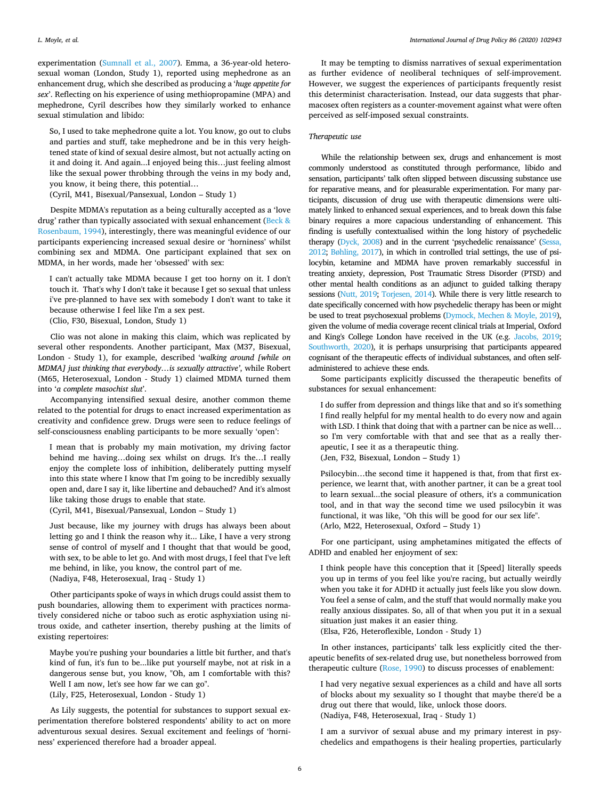experimentation ([Sumnall et al., 2007\)](#page-9-16). Emma, a 36-year-old heterosexual woman (London, Study 1), reported using mephedrone as an enhancement drug, which she described as producing a '*huge appetite for sex*'. Reflecting on his experience of using methiopropamine (MPA) and mephedrone, Cyril describes how they similarly worked to enhance sexual stimulation and libido:

So, I used to take mephedrone quite a lot. You know, go out to clubs and parties and stuff, take mephedrone and be in this very heightened state of kind of sexual desire almost, but not actually acting on it and doing it. And again...I enjoyed being this…just feeling almost like the sexual power throbbing through the veins in my body and, you know, it being there, this potential…

(Cyril, M41, Bisexual/Pansexual, London – Study 1)

Despite MDMA's reputation as a being culturally accepted as a 'love drug' rather than typically associated with sexual enhancement (Beck & [Rosenbaum, 1994\)](#page-8-36), interestingly, there was meaningful evidence of our participants experiencing increased sexual desire or 'horniness' whilst combining sex and MDMA. One participant explained that sex on MDMA, in her words, made her 'obsessed' with sex:

I can't actually take MDMA because I get too horny on it. I don't touch it. That's why I don't take it because I get so sexual that unless i've pre-planned to have sex with somebody I don't want to take it because otherwise I feel like I'm a sex pest. (Clio, F30, Bisexual, London, Study 1)

Clio was not alone in making this claim, which was replicated by several other respondents. Another participant, Max (M37, Bisexual, London - Study 1), for example, described '*walking around [while on MDMA] just thinking that everybody…is sexually attractive'*, while Robert (M65, Heterosexual, London - Study 1) claimed MDMA turned them into '*a complete masochist slut*'.

Accompanying intensified sexual desire, another common theme related to the potential for drugs to enact increased experimentation as creativity and confidence grew. Drugs were seen to reduce feelings of self-consciousness enabling participants to be more sexually 'open':

I mean that is probably my main motivation, my driving factor behind me having…doing sex whilst on drugs. It's the…I really enjoy the complete loss of inhibition, deliberately putting myself into this state where I know that I'm going to be incredibly sexually open and, dare I say it, like libertine and debauched? And it's almost like taking those drugs to enable that state.

(Cyril, M41, Bisexual/Pansexual, London – Study 1)

Just because, like my journey with drugs has always been about letting go and I think the reason why it... Like, I have a very strong sense of control of myself and I thought that that would be good, with sex, to be able to let go. And with most drugs, I feel that I've left me behind, in like, you know, the control part of me. (Nadiya, F48, Heterosexual, Iraq - Study 1)

Other participants spoke of ways in which drugs could assist them to push boundaries, allowing them to experiment with practices normatively considered niche or taboo such as erotic asphyxiation using nitrous oxide, and catheter insertion, thereby pushing at the limits of existing repertoires:

Maybe you're pushing your boundaries a little bit further, and that's kind of fun, it's fun to be...like put yourself maybe, not at risk in a dangerous sense but, you know, "Oh, am I comfortable with this? Well I am now, let's see how far we can go". (Lily, F25, Heterosexual, London - Study 1)

As Lily suggests, the potential for substances to support sexual experimentation therefore bolstered respondents' ability to act on more adventurous sexual desires. Sexual excitement and feelings of 'horniness' experienced therefore had a broader appeal.

It may be tempting to dismiss narratives of sexual experimentation as further evidence of neoliberal techniques of self-improvement. However, we suggest the experiences of participants frequently resist this determinist characterisation. Instead, our data suggests that pharmacosex often registers as a counter-movement against what were often perceived as self-imposed sexual constraints.

# *Therapeutic use*

While the relationship between sex, drugs and enhancement is most commonly understood as constituted through performance, libido and sensation, participants' talk often slipped between discussing substance use for reparative means, and for pleasurable experimentation. For many participants, discussion of drug use with therapeutic dimensions were ultimately linked to enhanced sexual experiences, and to break down this false binary requires a more capacious understanding of enhancement. This finding is usefully contextualised within the long history of psychedelic therapy [\(Dyck, 2008\)](#page-8-37) and in the current 'psychedelic renaissance' [\(Sessa,](#page-9-31) [2012;](#page-9-31) [Bøhling, 2017](#page-8-38)), in which in controlled trial settings, the use of psilocybin, ketamine and MDMA have proven remarkably successful in treating anxiety, depression, Post Traumatic Stress Disorder (PTSD) and other mental health conditions as an adjunct to guided talking therapy sessions [\(Nutt, 2019](#page-9-32); [Torjesen, 2014\)](#page-9-33). While there is very little research to date specifically concerned with how psychedelic therapy has been or might be used to treat psychosexual problems ([Dymock, Mechen & Moyle, 2019\)](#page-8-39), given the volume of media coverage recent clinical trials at Imperial, Oxford and King's College London have received in the UK (e.g. [Jacobs, 2019](#page-8-40); [Southworth, 2020](#page-9-34)), it is perhaps unsurprising that participants appeared cognisant of the therapeutic effects of individual substances, and often selfadministered to achieve these ends.

Some participants explicitly discussed the therapeutic benefits of substances for sexual enhancement:

I do suffer from depression and things like that and so it's something I find really helpful for my mental health to do every now and again with LSD. I think that doing that with a partner can be nice as well… so I'm very comfortable with that and see that as a really therapeutic, I see it as a therapeutic thing. (Jen, F32, Bisexual, London – Study 1)

Psilocybin…the second time it happened is that, from that first experience, we learnt that, with another partner, it can be a great tool to learn sexual...the social pleasure of others, it's a communication tool, and in that way the second time we used psilocybin it was functional, it was like, "Oh this will be good for our sex life". (Arlo, M22, Heterosexual, Oxford – Study 1)

For one participant, using amphetamines mitigated the effects of ADHD and enabled her enjoyment of sex:

I think people have this conception that it [Speed] literally speeds you up in terms of you feel like you're racing, but actually weirdly when you take it for ADHD it actually just feels like you slow down. You feel a sense of calm, and the stuff that would normally make you really anxious dissipates. So, all of that when you put it in a sexual situation just makes it an easier thing.

(Elsa, F26, Heteroflexible, London - Study 1)

In other instances, participants' talk less explicitly cited the therapeutic benefits of sex-related drug use, but nonetheless borrowed from therapeutic culture ([Rose, 1990](#page-9-35)) to discuss processes of enablement:

I had very negative sexual experiences as a child and have all sorts of blocks about my sexuality so I thought that maybe there'd be a drug out there that would, like, unlock those doors. (Nadiya, F48, Heterosexual, Iraq - Study 1)

I am a survivor of sexual abuse and my primary interest in psychedelics and empathogens is their healing properties, particularly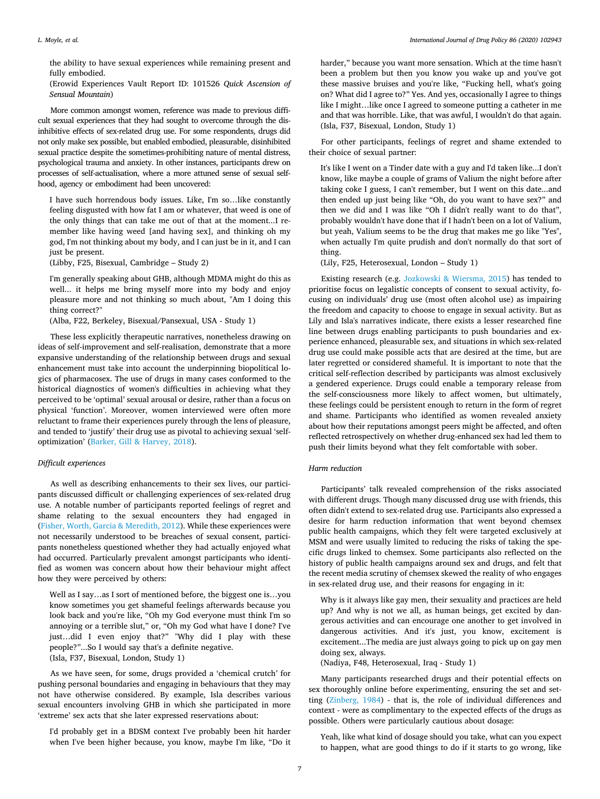the ability to have sexual experiences while remaining present and fully embodied.

(Erowid Experiences Vault Report ID: 101526 *Quick Ascension of Sensual Mountain*)

More common amongst women, reference was made to previous difficult sexual experiences that they had sought to overcome through the disinhibitive effects of sex-related drug use. For some respondents, drugs did not only make sex possible, but enabled embodied, pleasurable, disinhibited sexual practice despite the sometimes-prohibiting nature of mental distress, psychological trauma and anxiety. In other instances, participants drew on processes of self-actualisation, where a more attuned sense of sexual selfhood, agency or embodiment had been uncovered:

I have such horrendous body issues. Like, I'm so…like constantly feeling disgusted with how fat I am or whatever, that weed is one of the only things that can take me out of that at the moment...I remember like having weed [and having sex], and thinking oh my god, I'm not thinking about my body, and I can just be in it, and I can just be present.

(Libby, F25, Bisexual, Cambridge – Study 2)

I'm generally speaking about GHB, although MDMA might do this as well... it helps me bring myself more into my body and enjoy pleasure more and not thinking so much about, "Am I doing this thing correct?"

(Alba, F22, Berkeley, Bisexual/Pansexual, USA - Study 1)

These less explicitly therapeutic narratives, nonetheless drawing on ideas of self-improvement and self-realisation, demonstrate that a more expansive understanding of the relationship between drugs and sexual enhancement must take into account the underpinning biopolitical logics of pharmacosex. The use of drugs in many cases conformed to the historical diagnostics of women's difficulties in achieving what they perceived to be 'optimal' sexual arousal or desire, rather than a focus on physical 'function'. Moreover, women interviewed were often more reluctant to frame their experiences purely through the lens of pleasure, and tended to 'justify' their drug use as pivotal to achieving sexual 'selfoptimization' [\(Barker, Gill & Harvey, 2018](#page-8-41)).

# *Difficult experiences*

As well as describing enhancements to their sex lives, our participants discussed difficult or challenging experiences of sex-related drug use. A notable number of participants reported feelings of regret and shame relating to the sexual encounters they had engaged in ([Fisher, Worth, Garcia & Meredith, 2012\)](#page-8-42). While these experiences were not necessarily understood to be breaches of sexual consent, participants nonetheless questioned whether they had actually enjoyed what had occurred. Particularly prevalent amongst participants who identified as women was concern about how their behaviour might affect how they were perceived by others:

Well as I say…as I sort of mentioned before, the biggest one is…you know sometimes you get shameful feelings afterwards because you look back and you're like, "Oh my God everyone must think I'm so annoying or a terrible slut," or, "Oh my God what have I done? I've just…did I even enjoy that?" "Why did I play with these people?"...So I would say that's a definite negative. (Isla, F37, Bisexual, London, Study 1)

As we have seen, for some, drugs provided a 'chemical crutch' for pushing personal boundaries and engaging in behaviours that they may not have otherwise considered. By example, Isla describes various sexual encounters involving GHB in which she participated in more 'extreme' sex acts that she later expressed reservations about:

I'd probably get in a BDSM context I've probably been hit harder when I've been higher because, you know, maybe I'm like, "Do it harder," because you want more sensation. Which at the time hasn't been a problem but then you know you wake up and you've got these massive bruises and you're like, "Fucking hell, what's going on? What did I agree to?" Yes. And yes, occasionally I agree to things like I might…like once I agreed to someone putting a catheter in me and that was horrible. Like, that was awful, I wouldn't do that again. (Isla, F37, Bisexual, London, Study 1)

For other participants, feelings of regret and shame extended to their choice of sexual partner:

It's like I went on a Tinder date with a guy and I'd taken like...I don't know, like maybe a couple of grams of Valium the night before after taking coke I guess, I can't remember, but I went on this date...and then ended up just being like "Oh, do you want to have sex?" and then we did and I was like "Oh I didn't really want to do that", probably wouldn't have done that if I hadn't been on a lot of Valium, but yeah, Valium seems to be the drug that makes me go like "Yes", when actually I'm quite prudish and don't normally do that sort of thing.

(Lily, F25, Heterosexual, London – Study 1)

Existing research (e.g. [Jozkowski & Wiersma, 2015](#page-8-43)) has tended to prioritise focus on legalistic concepts of consent to sexual activity, focusing on individuals' drug use (most often alcohol use) as impairing the freedom and capacity to choose to engage in sexual activity. But as Lily and Isla's narratives indicate, there exists a lesser researched fine line between drugs enabling participants to push boundaries and experience enhanced, pleasurable sex, and situations in which sex-related drug use could make possible acts that are desired at the time, but are later regretted or considered shameful. It is important to note that the critical self-reflection described by participants was almost exclusively a gendered experience. Drugs could enable a temporary release from the self-consciousness more likely to affect women, but ultimately, these feelings could be persistent enough to return in the form of regret and shame. Participants who identified as women revealed anxiety about how their reputations amongst peers might be affected, and often reflected retrospectively on whether drug-enhanced sex had led them to push their limits beyond what they felt comfortable with sober.

# *Harm reduction*

Participants' talk revealed comprehension of the risks associated with different drugs. Though many discussed drug use with friends, this often didn't extend to sex-related drug use. Participants also expressed a desire for harm reduction information that went beyond chemsex public health campaigns, which they felt were targeted exclusively at MSM and were usually limited to reducing the risks of taking the specific drugs linked to chemsex. Some participants also reflected on the history of public health campaigns around sex and drugs, and felt that the recent media scrutiny of chemsex skewed the reality of who engages in sex-related drug use, and their reasons for engaging in it:

Why is it always like gay men, their sexuality and practices are held up? And why is not we all, as human beings, get excited by dangerous activities and can encourage one another to get involved in dangerous activities. And it's just, you know, excitement is excitement...The media are just always going to pick up on gay men doing sex, always.

(Nadiya, F48, Heterosexual, Iraq - Study 1)

Many participants researched drugs and their potential effects on sex thoroughly online before experimenting, ensuring the set and setting [\(Zinberg, 1984](#page-9-36)) - that is, the role of individual differences and context - were as complimentary to the expected effects of the drugs as possible. Others were particularly cautious about dosage:

Yeah, like what kind of dosage should you take, what can you expect to happen, what are good things to do if it starts to go wrong, like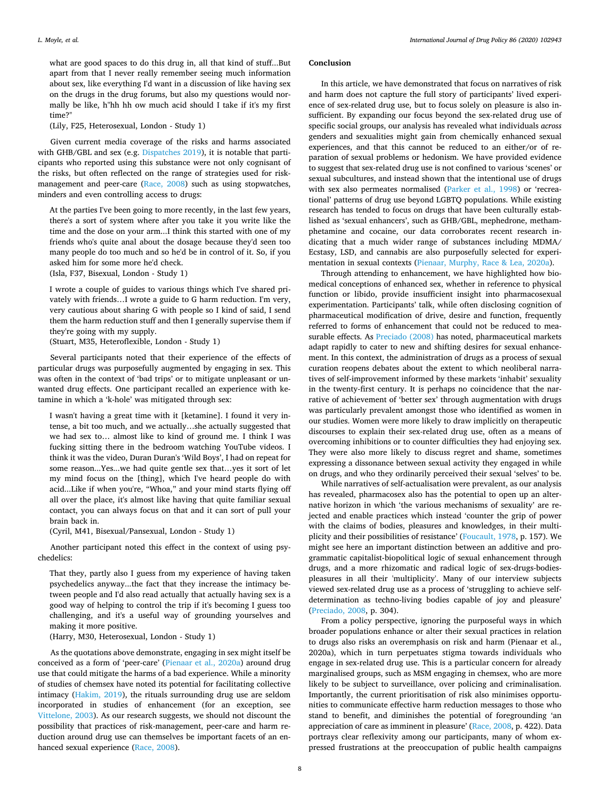what are good spaces to do this drug in, all that kind of stuff...But apart from that I never really remember seeing much information about sex, like everything I'd want in a discussion of like having sex on the drugs in the drug forums, but also my questions would normally be like, h"hh hh ow much acid should I take if it's my first time?"

(Lily, F25, Heterosexual, London - Study 1)

Given current media coverage of the risks and harms associated with GHB/GBL and sex (e.g. [Dispatches 2019\)](#page-8-44), it is notable that participants who reported using this substance were not only cognisant of the risks, but often reflected on the range of strategies used for riskmanagement and peer-care ([Race, 2008\)](#page-9-10) such as using stopwatches, minders and even controlling access to drugs:

At the parties I've been going to more recently, in the last few years, there's a sort of system where after you take it you write like the time and the dose on your arm...I think this started with one of my friends who's quite anal about the dosage because they'd seen too many people do too much and so he'd be in control of it. So, if you asked him for some more he'd check.

(Isla, F37, Bisexual, London - Study 1)

I wrote a couple of guides to various things which I've shared privately with friends…I wrote a guide to G harm reduction. I'm very, very cautious about sharing G with people so I kind of said, I send them the harm reduction stuff and then I generally supervise them if they're going with my supply.

(Stuart, M35, Heteroflexible, London - Study 1)

Several participants noted that their experience of the effects of particular drugs was purposefully augmented by engaging in sex. This was often in the context of 'bad trips' or to mitigate unpleasant or unwanted drug effects. One participant recalled an experience with ketamine in which a 'k-hole' was mitigated through sex:

I wasn't having a great time with it [ketamine]. I found it very intense, a bit too much, and we actually…she actually suggested that we had sex to… almost like to kind of ground me. I think I was fucking sitting there in the bedroom watching YouTube videos. I think it was the video, Duran Duran's 'Wild Boys', I had on repeat for some reason...Yes...we had quite gentle sex that…yes it sort of let my mind focus on the [thing], which I've heard people do with acid...Like if when you're, "Whoa," and your mind starts flying off all over the place, it's almost like having that quite familiar sexual contact, you can always focus on that and it can sort of pull your brain back in.

(Cyril, M41, Bisexual/Pansexual, London - Study 1)

Another participant noted this effect in the context of using psychedelics:

That they, partly also I guess from my experience of having taken psychedelics anyway...the fact that they increase the intimacy between people and I'd also read actually that actually having sex is a good way of helping to control the trip if it's becoming I guess too challenging, and it's a useful way of grounding yourselves and making it more positive.

(Harry, M30, Heterosexual, London - Study 1)

As the quotations above demonstrate, engaging in sex might itself be conceived as a form of 'peer-care' [\(Pienaar et al., 2020a\)](#page-9-9) around drug use that could mitigate the harms of a bad experience. While a minority of studies of chemsex have noted its potential for facilitating collective intimacy ([Hakim, 2019](#page-8-2)), the rituals surrounding drug use are seldom incorporated in studies of enhancement (for an exception, see [Vittelone, 2003\)](#page-9-37). As our research suggests, we should not discount the possibility that practices of risk-management, peer-care and harm reduction around drug use can themselves be important facets of an enhanced sexual experience ([Race, 2008\)](#page-9-10).

#### **Conclusion**

In this article, we have demonstrated that focus on narratives of risk and harm does not capture the full story of participants' lived experience of sex-related drug use, but to focus solely on pleasure is also insufficient. By expanding our focus beyond the sex-related drug use of specific social groups, our analysis has revealed what individuals *across*  genders and sexualities might gain from chemically enhanced sexual experiences, and that this cannot be reduced to an either/or of reparation of sexual problems or hedonism. We have provided evidence to suggest that sex-related drug use is not confined to various 'scenes' or sexual subcultures, and instead shown that the intentional use of drugs with sex also permeates normalised [\(Parker et al., 1998\)](#page-9-38) or 'recreational' patterns of drug use beyond LGBTQ populations. While existing research has tended to focus on drugs that have been culturally established as 'sexual enhancers', such as GHB/GBL, mephedrone, methamphetamine and cocaine, our data corroborates recent research indicating that a much wider range of substances including MDMA/ Ecstasy, LSD, and cannabis are also purposefully selected for experimentation in sexual contexts [\(Pienaar, Murphy, Race & Lea, 2020a](#page-9-9)).

Through attending to enhancement, we have highlighted how biomedical conceptions of enhanced sex, whether in reference to physical function or libido, provide insufficient insight into pharmacosexual experimentation. Participants' talk, while often disclosing cognition of pharmaceutical modification of drive, desire and function, frequently referred to forms of enhancement that could not be reduced to measurable effects. As [Preciado \(2008\)](#page-9-20) has noted, pharmaceutical markets adapt rapidly to cater to new and shifting desires for sexual enhancement. In this context, the administration of drugs as a process of sexual curation reopens debates about the extent to which neoliberal narratives of self-improvement informed by these markets 'inhabit' sexuality in the twenty-first century. It is perhaps no coincidence that the narrative of achievement of 'better sex' through augmentation with drugs was particularly prevalent amongst those who identified as women in our studies. Women were more likely to draw implicitly on therapeutic discourses to explain their sex-related drug use, often as a means of overcoming inhibitions or to counter difficulties they had enjoying sex. They were also more likely to discuss regret and shame, sometimes expressing a dissonance between sexual activity they engaged in while on drugs, and who they ordinarily perceived their sexual 'selves' to be.

While narratives of self-actualisation were prevalent, as our analysis has revealed, pharmacosex also has the potential to open up an alternative horizon in which 'the various mechanisms of sexuality' are rejected and enable practices which instead 'counter the grip of power with the claims of bodies, pleasures and knowledges, in their multiplicity and their possibilities of resistance' [\(Foucault, 1978](#page-8-45), p. 157). We might see here an important distinction between an additive and programmatic capitalist-biopolitical logic of sexual enhancement through drugs, and a more rhizomatic and radical logic of sex-drugs-bodiespleasures in all their 'multiplicity'. Many of our interview subjects viewed sex-related drug use as a process of 'struggling to achieve selfdetermination as techno-living bodies capable of joy and pleasure' ([Preciado, 2008](#page-9-20), p. 304).

From a policy perspective, ignoring the purposeful ways in which broader populations enhance or alter their sexual practices in relation to drugs also risks an overemphasis on risk and harm (Pienaar et al., 2020a), which in turn perpetuates stigma towards individuals who engage in sex-related drug use. This is a particular concern for already marginalised groups, such as MSM engaging in chemsex, who are more likely to be subject to surveillance, over policing and criminalisation. Importantly, the current prioritisation of risk also minimises opportunities to communicate effective harm reduction messages to those who stand to benefit, and diminishes the potential of foregrounding 'an appreciation of care as imminent in pleasure' ([Race, 2008,](#page-9-10) p. 422). Data portrays clear reflexivity among our participants, many of whom expressed frustrations at the preoccupation of public health campaigns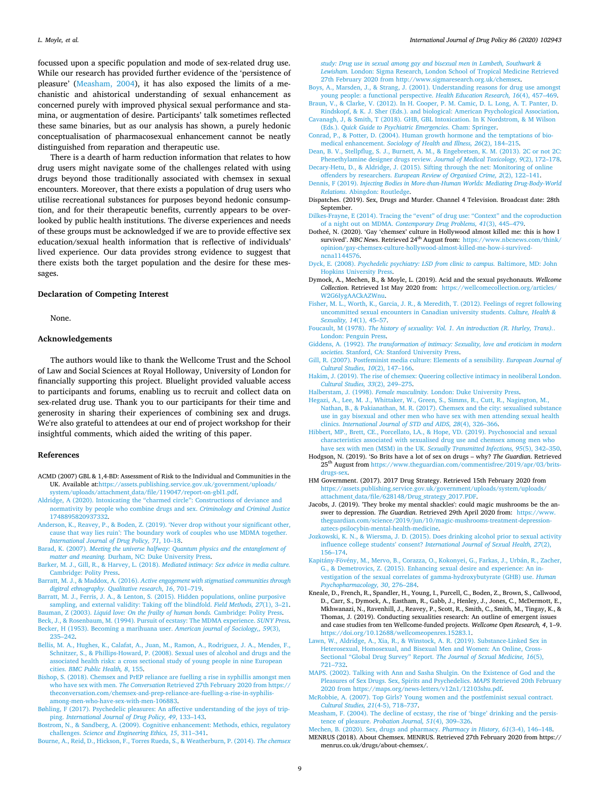focussed upon a specific population and mode of sex-related drug use. While our research has provided further evidence of the 'persistence of pleasure' [\(Measham, 2004\)](#page-8-46), it has also exposed the limits of a mechanistic and ahistorical understanding of sexual enhancement as concerned purely with improved physical sexual performance and stamina, or augmentation of desire. Participants' talk sometimes reflected these same binaries, but as our analysis has shown, a purely hedonic conceptualisation of pharmacosexual enhancement cannot be neatly distinguished from reparation and therapeutic use.

There is a dearth of harm reduction information that relates to how drug users might navigate some of the challenges related with using drugs beyond those traditionally associated with chemsex in sexual encounters. Moreover, that there exists a population of drug users who utilise recreational substances for purposes beyond hedonic consumption, and for their therapeutic benefits, currently appears to be overlooked by public health institutions. The diverse experiences and needs of these groups must be acknowledged if we are to provide effective sex education/sexual health information that is reflective of individuals' lived experience. Our data provides strong evidence to suggest that there exists both the target population and the desire for these messages.

# **Declaration of Competing Interest**

None.

# **Acknowledgements**

The authors would like to thank the Wellcome Trust and the School of Law and Social Sciences at Royal Holloway, University of London for financially supporting this project. Bluelight provided valuable access to participants and forums, enabling us to recruit and collect data on sex-related drug use. Thank you to our participants for their time and generosity in sharing their experiences of combining sex and drugs. We're also grateful to attendees at our end of project workshop for their insightful comments, which aided the writing of this paper.

#### **References**

- <span id="page-8-34"></span>ACMD (2007) GBL & 1,4-BD: Assessment of Risk to the Individual and Communities in the UK. Available at:[https://assets.publishing.service.gov.uk/government/uploads/](https://assets.publishing.service.gov.uk/government/uploads/system/uploads/attachment_data/file/119047/report-on-gbl1.pdf)  [system/uploads/attachment\\_data/file/119047/report-on-gbl1.pdf.](https://assets.publishing.service.gov.uk/government/uploads/system/uploads/attachment_data/file/119047/report-on-gbl1.pdf)
- <span id="page-8-32"></span>[Aldridge, A \(2020\). Intoxicating the "charmed circle": Constructions of deviance and](http://refhub.elsevier.com/S0955-3959(20)30282-6/opt5XvUL4XFuO)  [normativity by people who combine drugs and sex.](http://refhub.elsevier.com/S0955-3959(20)30282-6/opt5XvUL4XFuO) *Criminology and Criminal Justice*  [1748895820937332.](http://refhub.elsevier.com/S0955-3959(20)30282-6/opt5XvUL4XFuO)
- <span id="page-8-29"></span>[Anderson, K., Reavey, P., & Boden, Z. \(2019\). 'Never drop without your significant other,](http://refhub.elsevier.com/S0955-3959(20)30282-6/sbref0003)  [cause that way lies ruin': The boundary work of couples who use MDMA together.](http://refhub.elsevier.com/S0955-3959(20)30282-6/sbref0003) *[International Journal of Drug Policy, 71](http://refhub.elsevier.com/S0955-3959(20)30282-6/sbref0003)*, 10–18.
- <span id="page-8-11"></span>Barad, K. (2007). *[Meeting the universe halfway: Quantum physics and the entanglement of](http://refhub.elsevier.com/S0955-3959(20)30282-6/sbref0004)  matter and meaning.* [Durham, NC: Duke University Press.](http://refhub.elsevier.com/S0955-3959(20)30282-6/sbref0004)
- <span id="page-8-41"></span>Barker, M. J., Gill, R., & Harvey, L. (2018). *[Mediated intimacy: Sex advice in media culture.](http://refhub.elsevier.com/S0955-3959(20)30282-6/sbref0005)*  [Cambridge: Polity Press](http://refhub.elsevier.com/S0955-3959(20)30282-6/sbref0005).
- <span id="page-8-23"></span>Barratt, M. J., & Maddox, A. (2016). *[Active engagement with stigmatised communities through](http://refhub.elsevier.com/S0955-3959(20)30282-6/sbref0006)  [digitral ethnography. Qualitative research](http://refhub.elsevier.com/S0955-3959(20)30282-6/sbref0006)*, *16*, 701–719.
- <span id="page-8-25"></span>[Barratt, M. J., Ferris, J. A., & Lenton, S. \(2015\). Hidden populations, online purposive](http://refhub.elsevier.com/S0955-3959(20)30282-6/sbref0007)  [sampling, and external validity: Taking off the blindfold.](http://refhub.elsevier.com/S0955-3959(20)30282-6/sbref0007) *Field Methods, 27*(1), 3–21.
- <span id="page-8-21"></span>Bauman, Z (2003). *[Liquid love: On the frailty of human bonds.](http://refhub.elsevier.com/S0955-3959(20)30282-6/sbref0008)* Cambridge: Polity Press.
- <span id="page-8-36"></span><span id="page-8-28"></span>[Beck, J., & Rosenbaum, M. \(1994\). Pursuit of ecstasy: The MDMA experience.](http://refhub.elsevier.com/S0955-3959(20)30282-6/sbref0009) *SUNY Press*. [Becker, H \(1953\). Becoming a marihuana user.](http://refhub.elsevier.com/S0955-3959(20)30282-6/optAoHza4Cgs6) *American journal of Sociology,, 59*(3), [235–242](http://refhub.elsevier.com/S0955-3959(20)30282-6/optAoHza4Cgs6).
- <span id="page-8-9"></span>[Bellis, M. A., Hughes, K., Calafat, A., Juan, M., Ramon, A., Rodriguez, J. A., Mendes, F.,](http://refhub.elsevier.com/S0955-3959(20)30282-6/sbref0010)  [Schnitzer, S., & Phillips-Howard, P. \(2008\). Sexual uses of alcohol and drugs and the](http://refhub.elsevier.com/S0955-3959(20)30282-6/sbref0010)  [associated health risks: a cross sectional study of young people in nine European](http://refhub.elsevier.com/S0955-3959(20)30282-6/sbref0010) cities. *[BMC Public Health, 8](http://refhub.elsevier.com/S0955-3959(20)30282-6/sbref0010)*, 155.
- <span id="page-8-0"></span>[Bishop, S. \(2018\). Chemsex and PrEP reliance are fuelling a rise in syphillis amongst men](http://refhub.elsevier.com/S0955-3959(20)30282-6/sbref0011)  who have sex with men. *The Conversation* [Retrieved 27th February 2020 from https://](http://refhub.elsevier.com/S0955-3959(20)30282-6/sbref0011)  [theconversation.com/chemsex-and-prep-reliance-are-fuelling-a-rise-in-syphilis](http://refhub.elsevier.com/S0955-3959(20)30282-6/sbref0011)[among-men-who-have-sex-with-men-106883.](http://refhub.elsevier.com/S0955-3959(20)30282-6/sbref0011)
- <span id="page-8-38"></span>[Bøhling, F \(2017\). Psychedelic pleasures: An affective understanding of the joys of trip](http://refhub.elsevier.com/S0955-3959(20)30282-6/optAABZfgQdSp)ping. *[International Journal of Drug Policy, 49](http://refhub.elsevier.com/S0955-3959(20)30282-6/optAABZfgQdSp)*, 133–143.
- <span id="page-8-14"></span>[Bostrom, N., & Sandberg, A. \(2009\). Cognitive enhancement: Methods, ethics, regulatory](http://refhub.elsevier.com/S0955-3959(20)30282-6/sbref0012)  challenges. *[Science and Engineering Ethics, 15](http://refhub.elsevier.com/S0955-3959(20)30282-6/sbref0012)*, 311–341.

<span id="page-8-3"></span>[Bourne, A., Reid, D., Hickson, F., Torres Rueda, S., & Weatherburn, P. \(2014\).](http://refhub.elsevier.com/S0955-3959(20)30282-6/sbref0013) *The chemsex* 

*[study: Drug use in sexual among gay and bisexual men in Lambeth, Southwark &](http://refhub.elsevier.com/S0955-3959(20)30282-6/sbref0013)  Lewisham.* [London: Sigma Research, London School of Tropical Medicine Retrieved](http://refhub.elsevier.com/S0955-3959(20)30282-6/sbref0013)  [27th February 2020 from http://www.sigmaresearch.org.uk/chemsex.](http://refhub.elsevier.com/S0955-3959(20)30282-6/sbref0013)

- <span id="page-8-26"></span>[Boys, A., Marsden, J., & Strang, J. \(2001\). Understanding reasons for drug use amongst](http://refhub.elsevier.com/S0955-3959(20)30282-6/sbref0014)  [young people: a functional perspective.](http://refhub.elsevier.com/S0955-3959(20)30282-6/sbref0014) *Health Education Research, 16*(4), 457–469.
- <span id="page-8-27"></span>[Braun, V., & Clarke, V. \(2012\). In H. Cooper, P. M. Camic, D. L. Long, A. T. Panter, D.](http://refhub.elsevier.com/S0955-3959(20)30282-6/sbref0015)  [Rindskopf, & K. J. Sher \(Eds.\). and biological: American Psychological Association.](http://refhub.elsevier.com/S0955-3959(20)30282-6/sbref0015)
- <span id="page-8-35"></span>[Cavanagh, J, & Smith, T \(2018\). GHB, GBL Intoxication. In K Nordstrom, & M Wilson](http://refhub.elsevier.com/S0955-3959(20)30282-6/optuFQWO7f6Vr)  (Eds.). *[Quick Guide to Psychiatric Emergencies](http://refhub.elsevier.com/S0955-3959(20)30282-6/optuFQWO7f6Vr)*. Cham: Springer.
- <span id="page-8-13"></span>[Conrad, P., & Potter, D. \(2004\). Human growth hormone and the temptations of bio](http://refhub.elsevier.com/S0955-3959(20)30282-6/sbref0016)medical enhancement. *[Sociology of Health and Illness, 26](http://refhub.elsevier.com/S0955-3959(20)30282-6/sbref0016)*(2), 184–215.
- <span id="page-8-31"></span>[Dean, B. V., Stellpflug, S. J., Burnett, A. M., & Engebretsen, K. M. \(2013\). 2C or not 2C:](http://refhub.elsevier.com/S0955-3959(20)30282-6/sbref0017)  [Phenethylamine designer drugs review.](http://refhub.elsevier.com/S0955-3959(20)30282-6/sbref0017) *Journal of Medical Toxicology, 9*(2), 172–178. [Decary-Hetu, D., & Aldridge, J. \(2015\). Sifting through the net: Monitoring of online](http://refhub.elsevier.com/S0955-3959(20)30282-6/sbref0018)
- <span id="page-8-24"></span>offenders by researchers. *[European Review of Organised Crime, 2](http://refhub.elsevier.com/S0955-3959(20)30282-6/sbref0018)*(2), 122–141.
- <span id="page-8-15"></span>Dennis, F (2019). *[Injecting Bodies in More-than-Human Worlds: Mediating Drug-Body-World](http://refhub.elsevier.com/S0955-3959(20)30282-6/optCmKL5TG0p5)  Relations*[. Abingdon: Routledge.](http://refhub.elsevier.com/S0955-3959(20)30282-6/optCmKL5TG0p5)
- <span id="page-8-44"></span>Dispatches. (2019). Sex, Drugs and Murder. Channel 4 Television. Broadcast date: 28th September.
- <span id="page-8-12"></span>[Dilkes-Frayne, E \(2014\). Tracing the "event" of drug use: "Context" and the coproduction](http://refhub.elsevier.com/S0955-3959(20)30282-6/optb7h2pD1NW3)  of a night out on MDMA. *[Contemporary Drug Problems, 41](http://refhub.elsevier.com/S0955-3959(20)30282-6/optb7h2pD1NW3)*(3), 445–479.
- <span id="page-8-5"></span>Dotheé, N. (2020). 'Gay 'chemsex' culture in Hollywood almost killed me: this is how I survived'. *NBC News*. Retrieved 24<sup>th</sup> August from: https://www.nbcnews.com/think/ [opinion/gay-chemsex-culture-hollywood-almost-killed-me-how-i-survived](https://www.nbcnews.com/think/opinion/gay-chemsex-culture-hollywood-almost-killed-me-how-i-survived-ncna1144576)[ncna1144576](https://www.nbcnews.com/think/opinion/gay-chemsex-culture-hollywood-almost-killed-me-how-i-survived-ncna1144576).
- <span id="page-8-37"></span>Dyck, E. (2008). *[Psychedelic psychiatry: LSD from clinic to campus.](http://refhub.elsevier.com/S0955-3959(20)30282-6/sbref0024)* Baltimore, MD: John Hopkins University Pres
- <span id="page-8-39"></span>Dymock, A., Mechen, B., & Moyle, L. (2019). Acid and the sexual psychonauts. *Wellcome Collection*. Retrieved 1st May 2020 from: [https://wellcomecollection.org/articles/](https://wellcomecollection.org/articles/W2G6IygAACkAZWnu)  [W2G6IygAACkAZWnu](https://wellcomecollection.org/articles/W2G6IygAACkAZWnu).
- <span id="page-8-42"></span>[Fisher, M. L., Worth, K., Garcia, J. R., & Meredith, T. \(2012\). Feelings of regret following](http://refhub.elsevier.com/S0955-3959(20)30282-6/sbref0027)  [uncommitted sexual encounters in Canadian university students.](http://refhub.elsevier.com/S0955-3959(20)30282-6/sbref0027) *Culture, Health & [Sexuality, 14](http://refhub.elsevier.com/S0955-3959(20)30282-6/sbref0027)*(1), 45–57.
- <span id="page-8-45"></span>Foucault, M (1978). *[The history of sexuality: Vol. 1. An introduction \(R. Hurley, Trans\).](http://refhub.elsevier.com/S0955-3959(20)30282-6/optU9caantNmO)*. [London: Penguin Press](http://refhub.elsevier.com/S0955-3959(20)30282-6/optU9caantNmO).
- <span id="page-8-18"></span>Giddens, A. (1992). *[The transformation of intimacy: Sexuality, love and eroticism in modern](http://refhub.elsevier.com/S0955-3959(20)30282-6/sbref0028)  societies.* [Stanford, CA: Stanford University Press.](http://refhub.elsevier.com/S0955-3959(20)30282-6/sbref0028)
- <span id="page-8-19"></span>[Gill, R. \(2007\). Postfeminist media culture: Elements of a sensibility.](http://refhub.elsevier.com/S0955-3959(20)30282-6/sbref0029) *European Journal of [Cultural Studies, 10](http://refhub.elsevier.com/S0955-3959(20)30282-6/sbref0029)*(2), 147–166.
- <span id="page-8-2"></span>[Hakim, J. \(2019\). The rise of chemsex: Queering collective intimacy in neoliberal London.](http://refhub.elsevier.com/S0955-3959(20)30282-6/sbref0031)  *[Cultural Studies, 33](http://refhub.elsevier.com/S0955-3959(20)30282-6/sbref0031)*(2), 249–275.

<span id="page-8-16"></span>Halberstam, J. (1998). *Female masculinity.* [London: Duke University Press](http://refhub.elsevier.com/S0955-3959(20)30282-6/sbref0032).

- <span id="page-8-8"></span>[Hegazi, A., Lee, M. J., Whittaker, W., Green, S., Simms, R., Cutt, R., Nagington, M.,](http://refhub.elsevier.com/S0955-3959(20)30282-6/sbref0034) [Nathan, B., & Pakianathan, M. R. \(2017\). Chemsex and the city: sexualised substance](http://refhub.elsevier.com/S0955-3959(20)30282-6/sbref0034)  [use in gay bisexual and other men who have sex with men attending sexual health](http://refhub.elsevier.com/S0955-3959(20)30282-6/sbref0034) clinics. *[International Journal of STD and AIDS, 28](http://refhub.elsevier.com/S0955-3959(20)30282-6/sbref0034)*(4), 326–366.
- <span id="page-8-7"></span>[Hibbert, MP., Brett, CE., Porcellato, LA., & Hope, VD. \(2019\). Psychosocial and sexual](http://refhub.elsevier.com/S0955-3959(20)30282-6/sbref0035) [characteristics associated with sexualised drug use and chemsex among men who](http://refhub.elsevier.com/S0955-3959(20)30282-6/sbref0035)  [have sex with men \(MSM\) in the UK.](http://refhub.elsevier.com/S0955-3959(20)30282-6/sbref0035) *Sexually Transmitted Infections, 95*(5), 342–350.
- <span id="page-8-6"></span>Hodgson, N. (2019). 'So Brits have a lot of sex on drugs – why? *The Guardian*. Retrieved  $25^{\rm th}$  August from [https://www.theguardian.com/commentisfree/2019/apr/03/brits](https://www.theguardian.com/commentisfree/2019/apr/03/brits-drugs-sex)[drugs-sex](https://www.theguardian.com/commentisfree/2019/apr/03/brits-drugs-sex).
- <span id="page-8-1"></span>HM Government. (2017). 2017 Drug Strategy. Retrieved 15th February 2020 from [https://assets.publishing.service.gov.uk/government/uploads/system/uploads/](https://assets.publishing.service.gov.uk/government/uploads/system/uploads/attachment_data/file/628148/Drug_strategy_2017.PDF)  [attachment\\_data/file/628148/Drug\\_strategy\\_2017.PDF](https://assets.publishing.service.gov.uk/government/uploads/system/uploads/attachment_data/file/628148/Drug_strategy_2017.PDF).
- <span id="page-8-40"></span>Jacobs, J. (2019). 'They broke my mental shackles': could magic mushrooms be the answer to depression. *The Guardian*. Retrieved 29th April 2020 from: [https://www.](https://www.theguardian.com/science/2019/jun/10/magic-mushrooms-treatment-depression-aztecs-psilocybin-mental-health-medicine) [theguardian.com/science/2019/jun/10/magic-mushrooms-treatment-depression](https://www.theguardian.com/science/2019/jun/10/magic-mushrooms-treatment-depression-aztecs-psilocybin-mental-health-medicine)[aztecs-psilocybin-mental-health-medicine](https://www.theguardian.com/science/2019/jun/10/magic-mushrooms-treatment-depression-aztecs-psilocybin-mental-health-medicine).
- <span id="page-8-43"></span>[Jozkowski, K. N., & Wiersma, J. D. \(2015\). Does drinking alcohol prior to sexual activity](http://refhub.elsevier.com/S0955-3959(20)30282-6/sbref0039)  influence college students' consent? *[International Journal of Sexual Health, 27](http://refhub.elsevier.com/S0955-3959(20)30282-6/sbref0039)*(2), [156–174](http://refhub.elsevier.com/S0955-3959(20)30282-6/sbref0039).
- <span id="page-8-33"></span>[Kapitány-Fövény, M., Mervo, B., Corazza, O., Kokonyei, G., Farkas, J., Urbán, R., Zacher,](http://refhub.elsevier.com/S0955-3959(20)30282-6/sbref0041)  [G., & Demetrovics, Z. \(2015\). Enhancing sexual desire and experience: An in](http://refhub.elsevier.com/S0955-3959(20)30282-6/sbref0041)[vestigation of the sexual correlates of gamma-hydroxybutyrate \(GHB\) use.](http://refhub.elsevier.com/S0955-3959(20)30282-6/sbref0041) *Human [Psychopharmacology, 30](http://refhub.elsevier.com/S0955-3959(20)30282-6/sbref0041)*, 276–284.
- <span id="page-8-22"></span>Kneale, D., French, R., Spandler, H., Young, I., Purcell, C., Boden, Z., Brown, S., Callwood, D., Carr, S., Dymock, A., Eastham, R., Gabb, J., Henley, J., Jones, C., McDermott, E., Mkhwanazi, N., Ravenhill, J., Reavey, P., Scott, R., Smith, C., Smith, M., Tingay, K., & Thomas, J. (2019). Conducting sexualities research: An outline of emergent issues and case studies from ten Wellcome-funded projects. *Wellcome Open Research, 4*, 1–9. [https://doi.org/10.12688/wellcomeopenres.15283.1.](https://doi.org/10.12688/wellcomeopenres.15283.1)
- <span id="page-8-10"></span>[Lawn, W., Aldridge, A., Xia, R., & Winstock, A. R. \(2019\). Substance-Linked Sex in](http://refhub.elsevier.com/S0955-3959(20)30282-6/sbref0044) [Heterosexual, Homosexual, and Bisexual Men and Women: An Online, Cross-](http://refhub.elsevier.com/S0955-3959(20)30282-6/sbref0044)[Sectional "Global Drug Survey" Report.](http://refhub.elsevier.com/S0955-3959(20)30282-6/sbref0044) *The Journal of Sexual Medicine, 16*(5), [721–732](http://refhub.elsevier.com/S0955-3959(20)30282-6/sbref0044).
- <span id="page-8-30"></span>[MAPS. \(2002\). Talking with Ann and Sasha Shulgin. On the Existence of God and the](http://refhub.elsevier.com/S0955-3959(20)30282-6/sbref0045) [Pleasures of Sex Drugs. Sex, Spirits and Psychedelics.](http://refhub.elsevier.com/S0955-3959(20)30282-6/sbref0045) *MAPS* Retrieved 20th February [2020 from https://maps.org/news-letters/v12n1/12103shu.pdf](http://refhub.elsevier.com/S0955-3959(20)30282-6/sbref0045).
- <span id="page-8-20"></span>[McRobbie, A. \(2007\). Top Girls? Young women and the postfeminist sexual contract.](http://refhub.elsevier.com/S0955-3959(20)30282-6/sbref0046) *[Cultural Studies, 21](http://refhub.elsevier.com/S0955-3959(20)30282-6/sbref0046)*(4-5), 718–737.
- <span id="page-8-46"></span>[Measham, F. \(2004\). The decline of ecstasy, the rise of 'binge' drinking and the persis](http://refhub.elsevier.com/S0955-3959(20)30282-6/sbref0047)tence of pleasure. *[Probation Journal, 51](http://refhub.elsevier.com/S0955-3959(20)30282-6/sbref0047)*(4), 309–326.
- <span id="page-8-17"></span><span id="page-8-4"></span>[Mechen, B. \(2020\). Sex, drugs and pharmacy.](http://refhub.elsevier.com/S0955-3959(20)30282-6/sbref0048) *Pharmacy in History, 61*(3-4), 146–148. MENRUS (2018). About Chemsex. MENRUS. Retrieved 27th February 2020 from https:// menrus.co.uk/drugs/about-chemsex/.